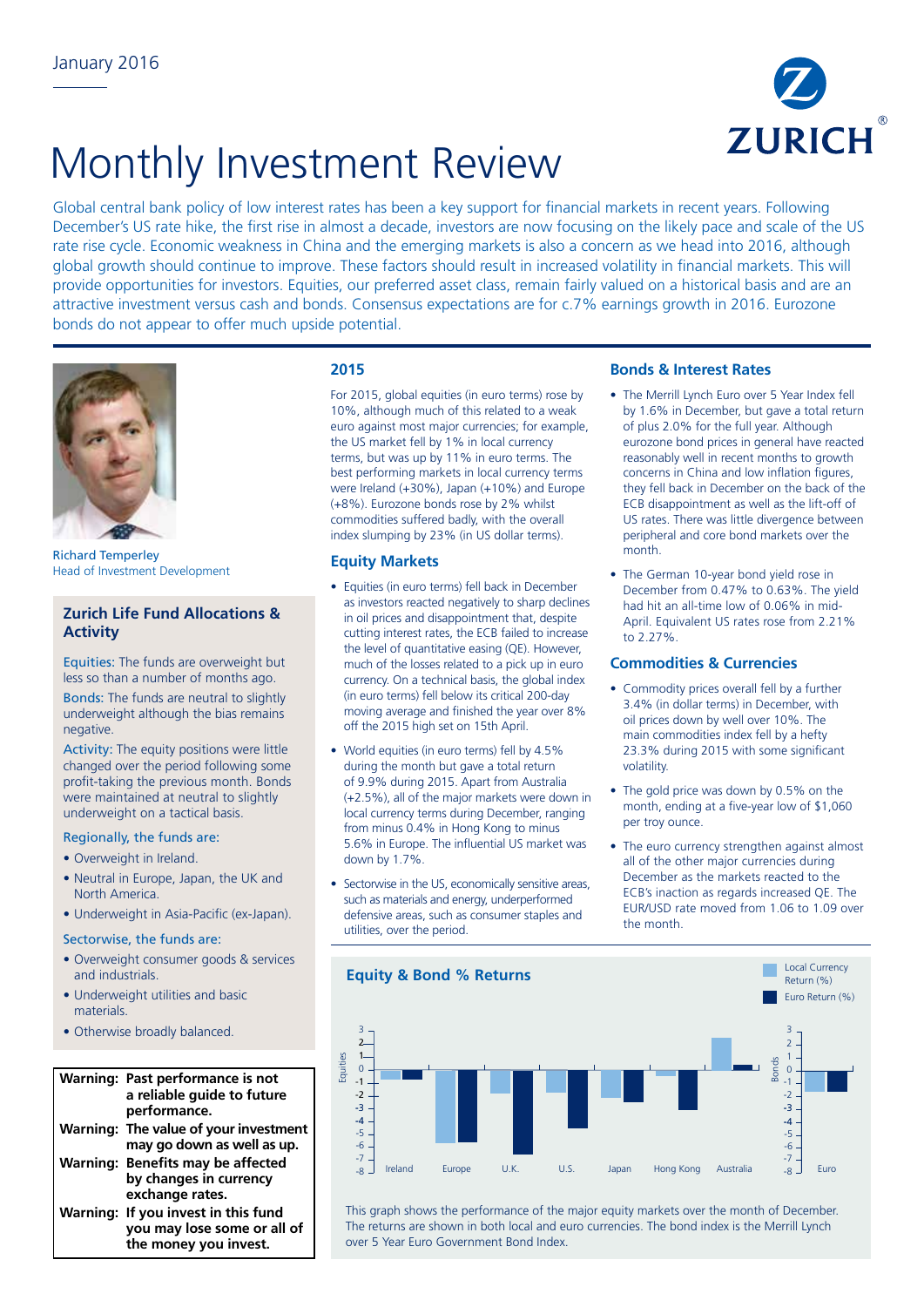

# Monthly Investment Review

Global central bank policy of low interest rates has been a key support for financial markets in recent years. Following December's US rate hike, the first rise in almost a decade, investors are now focusing on the likely pace and scale of the US rate rise cycle. Economic weakness in China and the emerging markets is also a concern as we head into 2016, although global growth should continue to improve. These factors should result in increased volatility in financial markets. This will provide opportunities for investors. Equities, our preferred asset class, remain fairly valued on a historical basis and are an attractive investment versus cash and bonds. Consensus expectations are for c.7% earnings growth in 2016. Eurozone bonds do not appear to offer much upside potential.



Richard Temperley Head of Investment Development

## **Zurich Life Fund Allocations & Activity**

Equities: The funds are overweight but less so than a number of months ago.

Bonds: The funds are neutral to slightly underweight although the bias remains negative.

Activity: The equity positions were little changed over the period following some profit-taking the previous month. Bonds were maintained at neutral to slightly underweight on a tactical basis.

## Regionally, the funds are:

- Overweight in Ireland.
- Neutral in Europe, Japan, the UK and North America.
- Underweight in Asia-Pacific (ex-Japan).

#### Sectorwise, the funds are:

- Overweight consumer goods & services and industrials.
- Underweight utilities and basic materials.
- Otherwise broadly balanced.

#### **Warning: Past performance is not**  0 a reliable guide to future **performance. Warning: The value of your investment**  -3 **may go down as well as up.**  -4 **Warning: Benefits may be affected**  -6 **by changes in currency exchange rates. Warning: If you invest in this fund you may lose some or all of the money you invest.** -5

## **2015**

For 2015, global equities (in euro terms) rose by 10%, although much of this related to a weak euro against most major currencies; for example, the US market fell by 1% in local currency terms, but was up by 11% in euro terms. The best performing markets in local currency terms were Ireland (+30%), Japan (+10%) and Europe (+8%). Eurozone bonds rose by 2% whilst commodities suffered badly, with the overall index slumping by 23% (in US dollar terms).

## **Equity Markets**

- Equities (in euro terms) fell back in December as investors reacted negatively to sharp declines in oil prices and disappointment that, despite cutting interest rates, the ECB failed to increase the level of quantitative easing (QE). However, much of the losses related to a pick up in euro currency. On a technical basis, the global index (in euro terms) fell below its critical 200-day moving average and finished the year over 8% off the 2015 high set on 15th April.
- World equities (in euro terms) fell by 4.5% during the month but gave a total return of 9.9% during 2015. Apart from Australia (+2.5%), all of the major markets were down in local currency terms during December, ranging from minus 0.4% in Hong Kong to minus 5.6% in Europe. The influential US market was down by 1.7%.
- Sectorwise in the US, economically sensitive areas, such as materials and energy, underperformed defensive areas, such as consumer staples and utilities, over the period.

## **Bonds & Interest Rates**

- The Merrill Lynch Euro over 5 Year Index fell by 1.6% in December, but gave a total return of plus 2.0% for the full year. Although eurozone bond prices in general have reacted reasonably well in recent months to growth concerns in China and low inflation figures, they fell back in December on the back of the ECB disappointment as well as the lift-off of US rates. There was little divergence between peripheral and core bond markets over the month.
- The German 10-year bond yield rose in December from 0.47% to 0.63%. The yield had hit an all-time low of 0.06% in mid-April. Equivalent US rates rose from 2.21% to 2.27%.

## **Commodities & Currencies**

- Commodity prices overall fell by a further 3.4% (in dollar terms) in December, with oil prices down by well over 10%. The main commodities index fell by a hefty 23.3% during 2015 with some significant volatility.
- The gold price was down by 0.5% on the month, ending at a five-year low of \$1,060 per troy ounce.
- The euro currency strengthen against almost all of the other major currencies during December as the markets reacted to the ECB's inaction as regards increased QE. The EUR/USD rate moved from 1.06 to 1.09 over the month.



This graph shows the performance of the major equity markets over the month of December. The returns are shown in both local and euro currencies. The bond index is the Merrill Lynch over 5 Year Euro Government Bond Index.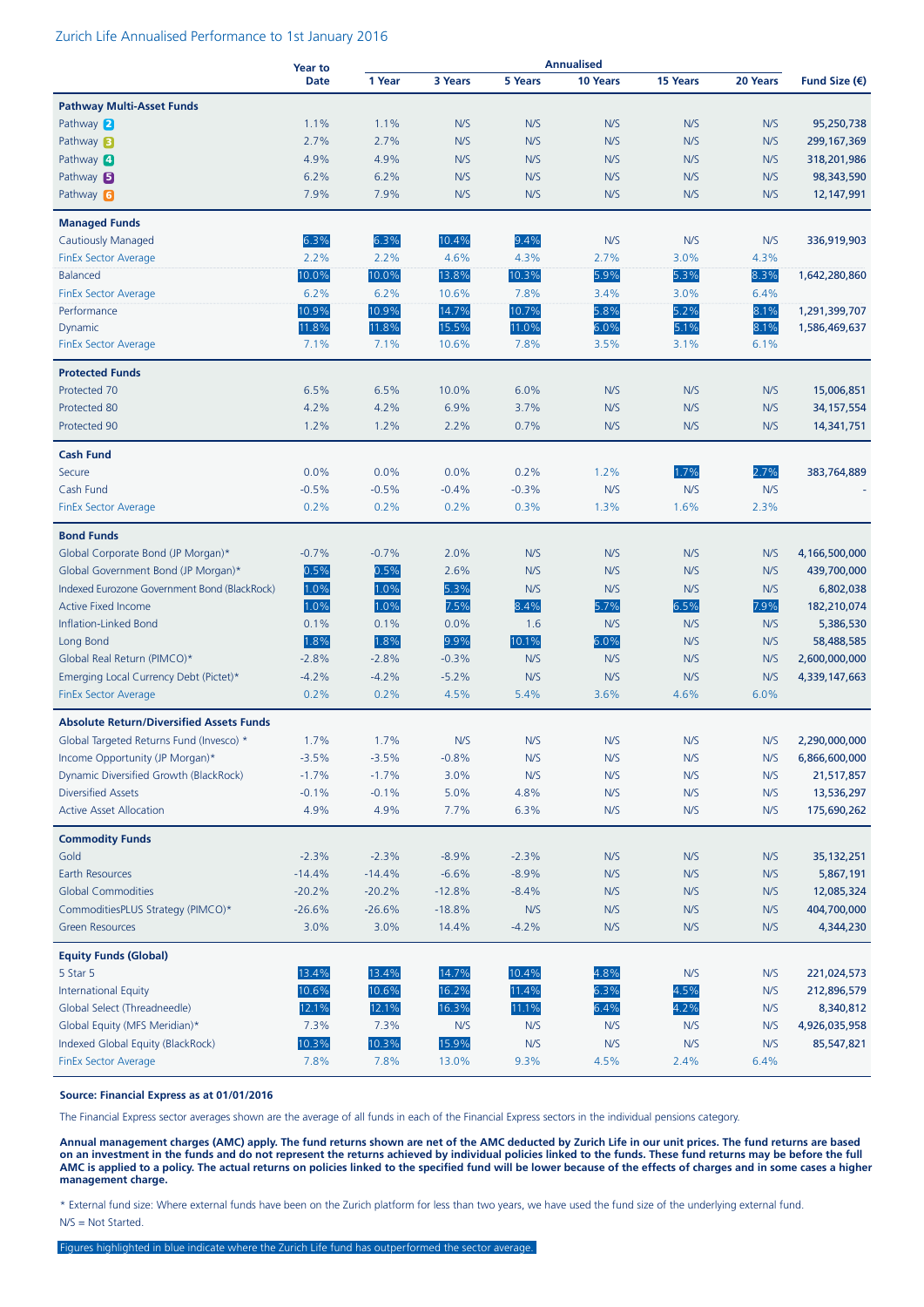#### Zurich Life Annualised Performance to 1st January 2016

|                                                                  | <b>Year to</b> |               |                |             |             |                 |             |                        |
|------------------------------------------------------------------|----------------|---------------|----------------|-------------|-------------|-----------------|-------------|------------------------|
|                                                                  | <b>Date</b>    | 1 Year        | 3 Years        | 5 Years     | 10 Years    | <b>15 Years</b> | 20 Years    | Fund Size $(\epsilon)$ |
| <b>Pathway Multi-Asset Funds</b>                                 |                |               |                |             |             |                 |             |                        |
| Pathway 2                                                        | 1.1%           | 1.1%          | N/S            | N/S         | N/S         | N/S             | N/S         | 95,250,738             |
| Pathway <b>3</b>                                                 | 2.7%           | 2.7%          | N/S            | N/S         | N/S         | N/S             | N/S         | 299, 167, 369          |
| Pathway 4                                                        | 4.9%           | 4.9%          | N/S            | N/S         | N/S         | N/S             | N/S         | 318,201,986            |
| Pathway <b>B</b>                                                 | 6.2%           | 6.2%          | N/S            | N/S         | N/S         | N/S             | N/S         | 98,343,590             |
| Pathway 6                                                        | 7.9%           | 7.9%          | N/S            | N/S         | N/S         | N/S             | N/S         | 12,147,991             |
| <b>Managed Funds</b>                                             |                |               |                |             |             |                 |             |                        |
| <b>Cautiously Managed</b>                                        | 6.3%           | 6.3%          | 10.4%          | 9.4%        | N/S         | N/S             | N/S         | 336,919,903            |
| <b>FinEx Sector Average</b>                                      | 2.2%           | 2.2%          | 4.6%           | 4.3%        | 2.7%        | 3.0%            | 4.3%        |                        |
| <b>Balanced</b>                                                  | 10.0%          | 10.0%         | 13.8%          | 10.3%       | 5.9%        | 5.3%            | 8.3%        | 1,642,280,860          |
| <b>FinEx Sector Average</b>                                      | 6.2%           | 6.2%          | 10.6%          | 7.8%        | 3.4%        | 3.0%            | 6.4%        |                        |
| Performance                                                      | 10.9%          | 10.9%         | 14.7%          | 10.7%       | 5.8%        | 5.2%            | 8.1%        | 1,291,399,707          |
| Dynamic                                                          | 11.8%          | 11.8%         | 15.5%          | 11.0%       | 6.0%        | 5.1%            | 8.1%        | 1,586,469,637          |
| <b>FinEx Sector Average</b>                                      | 7.1%           | 7.1%          | 10.6%          | 7.8%        | 3.5%        | 3.1%            | 6.1%        |                        |
|                                                                  |                |               |                |             |             |                 |             |                        |
| <b>Protected Funds</b>                                           |                |               |                |             |             |                 |             |                        |
| Protected 70                                                     | 6.5%           | 6.5%          | 10.0%          | 6.0%        | N/S         | N/S             | N/S         | 15,006,851             |
| Protected 80                                                     | 4.2%           | 4.2%          | 6.9%           | 3.7%        | N/S         | N/S             | N/S         | 34, 157, 554           |
| Protected 90                                                     | 1.2%           | 1.2%          | 2.2%           | 0.7%        | N/S         | N/S             | N/S         | 14,341,751             |
| <b>Cash Fund</b>                                                 |                |               |                |             |             |                 |             |                        |
| Secure                                                           | 0.0%           | 0.0%          | 0.0%           | 0.2%        | 1.2%        | 1.7%            | 2.7%        | 383,764,889            |
| Cash Fund                                                        | $-0.5%$        | $-0.5%$       | $-0.4%$        | $-0.3%$     | N/S         | N/S             | N/S         |                        |
| <b>FinEx Sector Average</b>                                      | 0.2%           | 0.2%          | 0.2%           | 0.3%        | 1.3%        | 1.6%            | 2.3%        |                        |
| <b>Bond Funds</b>                                                |                |               |                |             |             |                 |             |                        |
| Global Corporate Bond (JP Morgan)*                               | $-0.7%$        | $-0.7%$       | 2.0%           | N/S         | N/S         | N/S             | N/S         | 4,166,500,000          |
| Global Government Bond (JP Morgan)*                              | 0.5%           | 0.5%          | 2.6%           | N/S         | N/S         | N/S             | N/S         | 439,700,000            |
| Indexed Eurozone Government Bond (BlackRock)                     | 1.0%           | 1.0%          | 5.3%           | N/S         | N/S         | N/S             | N/S         | 6,802,038              |
| <b>Active Fixed Income</b>                                       | 1.0%           | 1.0%          | 7.5%           | 8.4%        | 5.7%        | 6.5%            | 7.9%        | 182,210,074            |
| Inflation-Linked Bond                                            | 0.1%           | 0.1%          | 0.0%           | 1.6         | N/S         | N/S             | N/S         | 5,386,530              |
| Long Bond                                                        | 1.8%           | 1.8%          | 9.9%           | 10.1%       | 6.0%        | N/S             | N/S         | 58,488,585             |
| Global Real Return (PIMCO)*                                      | $-2.8%$        | $-2.8%$       | $-0.3%$        | N/S         | N/S         | N/S             | N/S         | 2,600,000,000          |
| Emerging Local Currency Debt (Pictet)*                           | $-4.2%$        | $-4.2%$       | $-5.2%$        | N/S         | N/S         | N/S             | N/S         | 4,339,147,663          |
| <b>FinEx Sector Average</b>                                      | 0.2%           | 0.2%          | 4.5%           | 5.4%        | 3.6%        | 4.6%            | 6.0%        |                        |
| <b>Absolute Return/Diversified Assets Funds</b>                  |                |               |                |             |             |                 |             |                        |
| Global Targeted Returns Fund (Invesco) *                         | 1.7%           | 1.7%          | N/S            | N/S         | N/S         | N/S             | N/S         | 2,290,000,000          |
| Income Opportunity (JP Morgan)*                                  | $-3.5%$        | $-3.5%$       | $-0.8%$        | N/S         | N/S         | N/S             | N/S         | 6,866,600,000          |
| Dynamic Diversified Growth (BlackRock)                           | $-1.7%$        | $-1.7%$       | 3.0%           | N/S         | N/S         | N/S             | N/S         | 21,517,857             |
| <b>Diversified Assets</b>                                        | $-0.1%$        | $-0.1%$       | 5.0%           | 4.8%        | N/S         | N/S             | N/S         | 13,536,297             |
| <b>Active Asset Allocation</b>                                   | 4.9%           | 4.9%          | 7.7%           | 6.3%        | N/S         | N/S             | N/S         | 175,690,262            |
|                                                                  |                |               |                |             |             |                 |             |                        |
| <b>Commodity Funds</b><br>Gold                                   | $-2.3%$        | $-2.3%$       | $-8.9%$        | $-2.3%$     | N/S         | N/S             | N/S         | 35, 132, 251           |
| Earth Resources                                                  | $-14.4%$       | $-14.4%$      | $-6.6%$        | $-8.9%$     | N/S         | N/S             | N/S         | 5,867,191              |
| <b>Global Commodities</b>                                        | $-20.2%$       | $-20.2%$      | $-12.8%$       | $-8.4%$     | N/S         | N/S             | N/S         | 12,085,324             |
| CommoditiesPLUS Strategy (PIMCO)*                                | $-26.6%$       | $-26.6%$      | $-18.8%$       | N/S         | N/S         | N/S             | N/S         | 404,700,000            |
| <b>Green Resources</b>                                           | 3.0%           | 3.0%          | 14.4%          | $-4.2%$     | N/S         | N/S             | N/S         | 4,344,230              |
|                                                                  |                |               |                |             |             |                 |             |                        |
| <b>Equity Funds (Global)</b>                                     |                |               |                |             |             |                 |             |                        |
| 5 Star 5                                                         | 13.4%          | 13.4%         | 14.7%          | 10.4%       | 4.8%        | N/S             | N/S         | 221,024,573            |
| <b>International Equity</b>                                      | 10.6%          | 10.6%         | 16.2%          | 11.4%       | 6.3%        | 4.5%            | N/S         | 212,896,579            |
| Global Select (Threadneedle)                                     | 12.1%          | 12.1%         | 16.3%          | 11.1%       | 6.4%        | 4.2%            | N/S         | 8,340,812              |
| Global Equity (MFS Meridian)*                                    | 7.3%           | 7.3%          | N/S            | N/S         | N/S         | N/S             | N/S         | 4,926,035,958          |
| Indexed Global Equity (BlackRock)<br><b>FinEx Sector Average</b> | 10.3%<br>7.8%  | 10.3%<br>7.8% | 15.9%<br>13.0% | N/S<br>9.3% | N/S<br>4.5% | N/S<br>2.4%     | N/S<br>6.4% | 85,547,821             |
|                                                                  |                |               |                |             |             |                 |             |                        |

#### **Source: Financial Express as at 01/01/2016**

The Financial Express sector averages shown are the average of all funds in each of the Financial Express sectors in the individual pensions category.

**Annual management charges (AMC) apply. The fund returns shown are net of the AMC deducted by Zurich Life in our unit prices. The fund returns are based on an investment in the funds and do not represent the returns achieved by individual policies linked to the funds. These fund returns may be before the full AMC is applied to a policy. The actual returns on policies linked to the specified fund will be lower because of the effects of charges and in some cases a higher management charge.**

\* External fund size: Where external funds have been on the Zurich platform for less than two years, we have used the fund size of the underlying external fund. N/S = Not Started.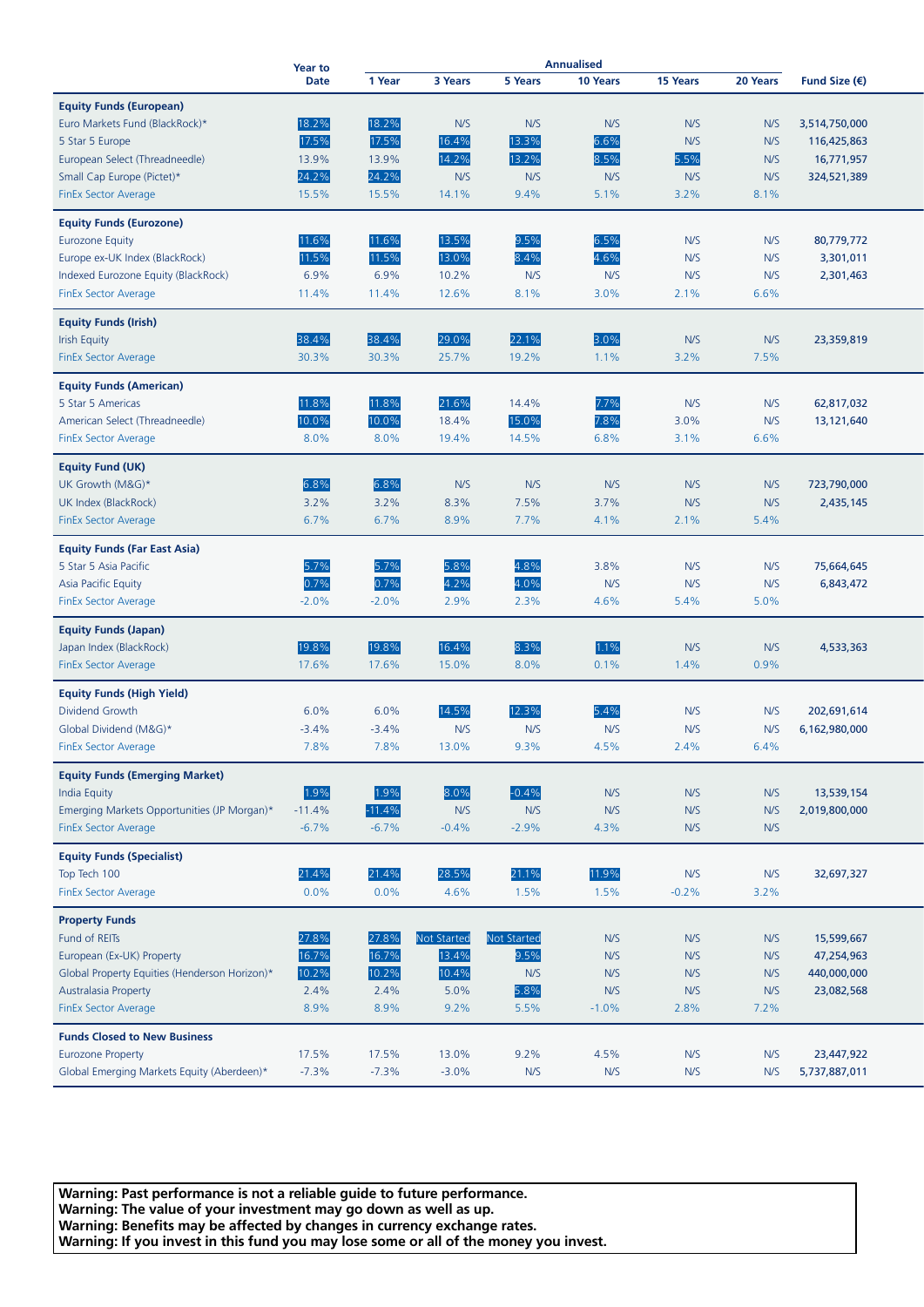|                                               | <b>Year to</b> |          |                    |               | <b>Annualised</b> |          |             |                        |  |
|-----------------------------------------------|----------------|----------|--------------------|---------------|-------------------|----------|-------------|------------------------|--|
|                                               | <b>Date</b>    | 1 Year   | 3 Years            | 5 Years       | 10 Years          | 15 Years | 20 Years    | Fund Size $(\epsilon)$ |  |
| <b>Equity Funds (European)</b>                |                |          |                    |               |                   |          |             |                        |  |
| Euro Markets Fund (BlackRock)*                | 18.2%          | 18.2%    | N/S                | N/S           | N/S               | N/S      | N/S         | 3,514,750,000          |  |
|                                               | 17.5%          | 17.5%    | 16.4%              | 13.3%         | 6.6%              | N/S      | N/S         |                        |  |
| 5 Star 5 Europe                               |                |          | 14.2%              | 13.2%         | 8.5%              |          |             | 116,425,863            |  |
| European Select (Threadneedle)                | 13.9%          | 13.9%    |                    |               |                   | 5.5%     | N/S         | 16,771,957             |  |
| Small Cap Europe (Pictet)*                    | 24.2%          | 24.2%    | N/S                | N/S           | N/S               | N/S      | N/S         | 324,521,389            |  |
| <b>FinEx Sector Average</b>                   | 15.5%          | 15.5%    | 14.1%              | 9.4%          | 5.1%              | 3.2%     | 8.1%        |                        |  |
| <b>Equity Funds (Eurozone)</b>                |                |          |                    |               |                   |          |             |                        |  |
| <b>Eurozone Equity</b>                        | 11.6%          | 11.6%    | 13.5%              | 9.5%          | 6.5%              | N/S      | N/S         | 80,779,772             |  |
| Europe ex-UK Index (BlackRock)                | 11.5%          | 11.5%    | 13.0%              | 8.4%          | 4.6%              | N/S      | N/S         | 3,301,011              |  |
| Indexed Eurozone Equity (BlackRock)           | 6.9%           | 6.9%     | 10.2%              | N/S           | N/S               | N/S      | N/S         | 2,301,463              |  |
| <b>FinEx Sector Average</b>                   | 11.4%          | 11.4%    | 12.6%              | 8.1%          | 3.0%              | 2.1%     | 6.6%        |                        |  |
|                                               |                |          |                    |               |                   |          |             |                        |  |
| <b>Equity Funds (Irish)</b>                   |                |          |                    |               |                   |          |             |                        |  |
| <b>Irish Equity</b>                           | 38.4%          | 38.4%    | 29.0%              | 22.1%         | 3.0%              | N/S      | N/S         | 23,359,819             |  |
| <b>FinEx Sector Average</b>                   | 30.3%          | 30.3%    | 25.7%              | 19.2%         | 1.1%              | 3.2%     | 7.5%        |                        |  |
| <b>Equity Funds (American)</b>                |                |          |                    |               |                   |          |             |                        |  |
| 5 Star 5 Americas                             | 11.8%          | 11.8%    | 21.6%              | 14.4%         | 7.7%              | N/S      | N/S         | 62,817,032             |  |
| American Select (Threadneedle)                | 10.0%          | 10.0%    | 18.4%              | 15.0%         | 7.8%              | 3.0%     | N/S         | 13,121,640             |  |
| <b>FinEx Sector Average</b>                   | 8.0%           | 8.0%     | 19.4%              | 14.5%         | 6.8%              | 3.1%     | 6.6%        |                        |  |
|                                               |                |          |                    |               |                   |          |             |                        |  |
| <b>Equity Fund (UK)</b>                       |                |          |                    |               |                   |          |             |                        |  |
| UK Growth (M&G)*                              | 6.8%           | 6.8%     | N/S                | N/S           | N/S               | N/S      | N/S         | 723,790,000            |  |
| UK Index (BlackRock)                          | 3.2%           | 3.2%     | 8.3%               | 7.5%          | 3.7%              | N/S      | N/S         | 2,435,145              |  |
| <b>FinEx Sector Average</b>                   | 6.7%           | 6.7%     | 8.9%               | 7.7%          | 4.1%              | 2.1%     | 5.4%        |                        |  |
|                                               |                |          |                    |               |                   |          |             |                        |  |
| <b>Equity Funds (Far East Asia)</b>           |                |          |                    |               |                   |          |             |                        |  |
| 5 Star 5 Asia Pacific                         | 5.7%           | 5.7%     | 5.8%               | 4.8%          | 3.8%              | N/S      | N/S         | 75,664,645             |  |
| Asia Pacific Equity                           | 0.7%           | 0.7%     | 4.2%               | 4.0%          | N/S               | N/S      | N/S         | 6,843,472              |  |
| <b>FinEx Sector Average</b>                   | $-2.0%$        | $-2.0%$  | 2.9%               | 2.3%          | 4.6%              | 5.4%     | 5.0%        |                        |  |
| <b>Equity Funds (Japan)</b>                   |                |          |                    |               |                   |          |             |                        |  |
| Japan Index (BlackRock)                       | 19.8%          | 19.8%    | 16.4%              | 8.3%          | 1.1%              | N/S      | N/S         | 4,533,363              |  |
| <b>FinEx Sector Average</b>                   | 17.6%          | 17.6%    | 15.0%              | 8.0%          | 0.1%              | 1.4%     | 0.9%        |                        |  |
|                                               |                |          |                    |               |                   |          |             |                        |  |
| <b>Equity Funds (High Yield)</b>              |                |          |                    |               |                   |          |             |                        |  |
| Dividend Growth                               | 6.0%           | 6.0%     | 14.5%              | 12.3%         | 5.4%              | N/S      | N/S         | 202,691,614            |  |
| Global Dividend (M&G)*                        | $-3.4%$        | $-3.4%$  | N/S                | N/S           | N/S               | N/S      | N/S         | 6,162,980,000          |  |
| <b>FinEx Sector Average</b>                   | 7.8%           | 7.8%     | 13.0%              | 9.3%          | 4.5%              | 2.4%     | 6.4%        |                        |  |
| <b>Equity Funds (Emerging Market)</b>         |                |          |                    |               |                   |          |             |                        |  |
| India Equity                                  | 1.9%           | 1.9%     | 8.0%               | $-0.4%$       | N/S               | N/S      | N/S         | 13,539,154             |  |
| Emerging Markets Opportunities (JP Morgan)*   | $-11.4%$       | $-11.4%$ | N/S                | N/S           | N/S               | N/S      | N/S         | 2,019,800,000          |  |
| <b>FinEx Sector Average</b>                   | $-6.7%$        | $-6.7%$  | $-0.4%$            | $-2.9%$       | 4.3%              | N/S      | N/S         |                        |  |
|                                               |                |          |                    |               |                   |          |             |                        |  |
| <b>Equity Funds (Specialist)</b>              | 21.4%          | 21.4%    |                    |               |                   |          |             |                        |  |
| Top Tech 100<br><b>FinEx Sector Average</b>   | 0.0%           | 0.0%     | 28.5%<br>4.6%      | 21.1%<br>1.5% | 11.9%<br>1.5%     | N/S      | N/S<br>3.2% | 32,697,327             |  |
|                                               |                |          |                    |               |                   | $-0.2%$  |             |                        |  |
| <b>Property Funds</b>                         |                |          |                    |               |                   |          |             |                        |  |
| Fund of REITs                                 | 27.8%          | 27.8%    | <b>Not Started</b> | Not Started   | N/S               | N/S      | N/S         | 15,599,667             |  |
| European (Ex-UK) Property                     | 16.7%          | 16.7%    | 13.4%              | 9.5%          | N/S               | N/S      | N/S         | 47,254,963             |  |
| Global Property Equities (Henderson Horizon)* | 10.2%          | 10.2%    | 10.4%              | N/S           | N/S               | N/S      | N/S         | 440,000,000            |  |
| Australasia Property                          | 2.4%           | 2.4%     | 5.0%               | 5.8%          | N/S               | N/S      | N/S         | 23,082,568             |  |
| <b>FinEx Sector Average</b>                   | 8.9%           | 8.9%     | 9.2%               | 5.5%          | $-1.0%$           | 2.8%     | 7.2%        |                        |  |
|                                               |                |          |                    |               |                   |          |             |                        |  |
| <b>Funds Closed to New Business</b>           |                |          |                    |               |                   |          |             |                        |  |
| <b>Eurozone Property</b>                      | 17.5%          | 17.5%    | 13.0%              | 9.2%          | 4.5%              | N/S      | N/S         | 23,447,922             |  |
| Global Emerging Markets Equity (Aberdeen)*    | $-7.3%$        | $-7.3%$  | $-3.0%$            | N/S           | N/S               | N/S      | N/S         | 5,737,887,011          |  |

**Warning: Past performance is not a reliable guide to future performance. Warning: The value of your investment may go down as well as up. Warning: Benefits may be affected by changes in currency exchange rates. Warning: If you invest in this fund you may lose some or all of the money you invest.**